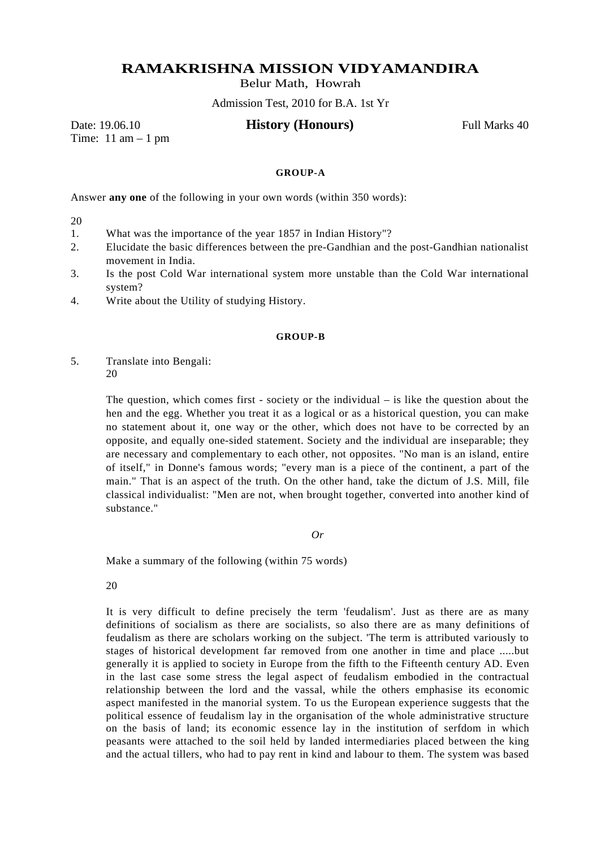## **RAMAKRISHNA MISSION VIDYAMANDIRA**

Belur Math, Howrah

Admission Test, 2010 for B.A. 1st Yr

Time:  $11$  am  $-1$  pm

## Date: 19.06.10 **History (Honours)** Full Marks 40

## **GROUP-A**

Answer **any one** of the following in your own words (within 350 words):

20

- 1. What was the importance of the year 1857 in Indian History"?
- 2. Elucidate the basic differences between the pre-Gandhian and the post-Gandhian nationalist movement in India.
- 3. Is the post Cold War international system more unstable than the Cold War international system?
- 4. Write about the Utility of studying History.

## **GROUP-B**

5. Translate into Bengali: 20

> The question, which comes first - society or the individual – is like the question about the hen and the egg. Whether you treat it as a logical or as a historical question, you can make no statement about it, one way or the other, which does not have to be corrected by an opposite, and equally one-sided statement. Society and the individual are inseparable; they are necessary and complementary to each other, not opposites. "No man is an island, entire of itself," in Donne's famous words; "every man is a piece of the continent, a part of the main." That is an aspect of the truth. On the other hand, take the dictum of J.S. Mill, file classical individualist: "Men are not, when brought together, converted into another kind of substance."

> > *Or*

Make a summary of the following (within 75 words)

20

It is very difficult to define precisely the term 'feudalism'. Just as there are as many definitions of socialism as there are socialists, so also there are as many definitions of feudalism as there are scholars working on the subject. 'The term is attributed variously to stages of historical development far removed from one another in time and place .....but generally it is applied to society in Europe from the fifth to the Fifteenth century AD. Even in the last case some stress the legal aspect of feudalism embodied in the contractual relationship between the lord and the vassal, while the others emphasise its economic aspect manifested in the manorial system. To us the European experience suggests that the political essence of feudalism lay in the organisation of the whole administrative structure on the basis of land; its economic essence lay in the institution of serfdom in which peasants were attached to the soil held by landed intermediaries placed between the king and the actual tillers, who had to pay rent in kind and labour to them. The system was based